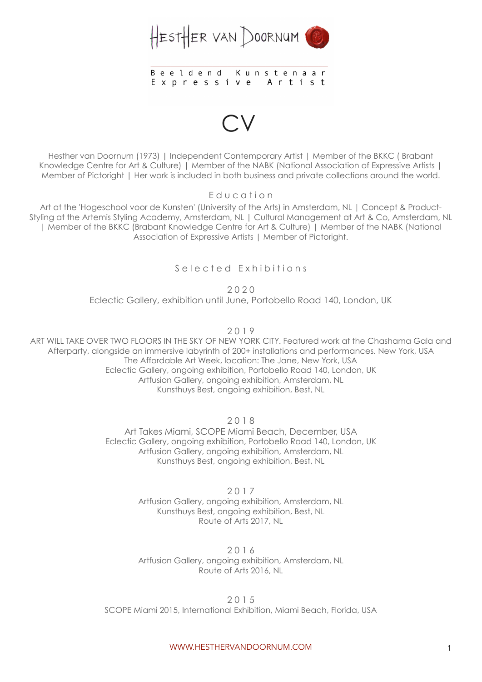

## **Beeldend** Kunstenaar Expressive Artist

CV

Hesther van Doornum (1973) | Independent Contemporary Artist | Member of the BKKC ( Brabant Knowledge Centre for Art & Culture) | Member of the NABK (National Association of Expressive Artists | Member of Pictoright | Her work is included in both business and private collections around the world.

E d u c a t i o n

Art at the 'Hogeschool voor de Kunsten' (University of the Arts) in Amsterdam, NL | Concept & Product-Styling at the Artemis Styling Academy, Amsterdam, NL | Cultural Management at Art & Co, Amsterdam, NL | Member of the BKKC (Brabant Knowledge Centre for Art & Culture) | Member of the NABK (National Association of Expressive Artists | Member of Pictoright.

Selected Exhibitions

2 0 2 0

Eclectic Gallery, exhibition until June, Portobello Road 140, London, UK

2 0 1 9

ART WILL TAKE OVER TWO FLOORS IN THE SKY OF NEW YORK CITY. Featured work at the Chashama Gala and Afterparty, alongside an immersive labyrinth of 200+ installations and performances. New York, USA The Affordable Art Week, location: The Jane, New York, USA Eclectic Gallery, ongoing exhibition, Portobello Road 140, London, UK Artfusion Gallery, ongoing exhibition, Amsterdam, NL Kunsthuys Best, ongoing exhibition, Best, NL

2 0 1 8

Art Takes Miami, SCOPE Miami Beach, December, USA Eclectic Gallery, ongoing exhibition, Portobello Road 140, London, UK Artfusion Gallery, ongoing exhibition, Amsterdam, NL Kunsthuys Best, ongoing exhibition, Best, NL

> 2 0 1 7 Artfusion Gallery, ongoing exhibition, Amsterdam, NL Kunsthuys Best, ongoing exhibition, Best, NL Route of Arts 2017, NL

> 2 0 1 6 Artfusion Gallery, ongoing exhibition, Amsterdam, NL Route of Arts 2016, NL

2 0 1 5 SCOPE Miami 2015, International Exhibition, Miami Beach, Florida, USA

WWW.HESTHERVANDOORNUM.COM 1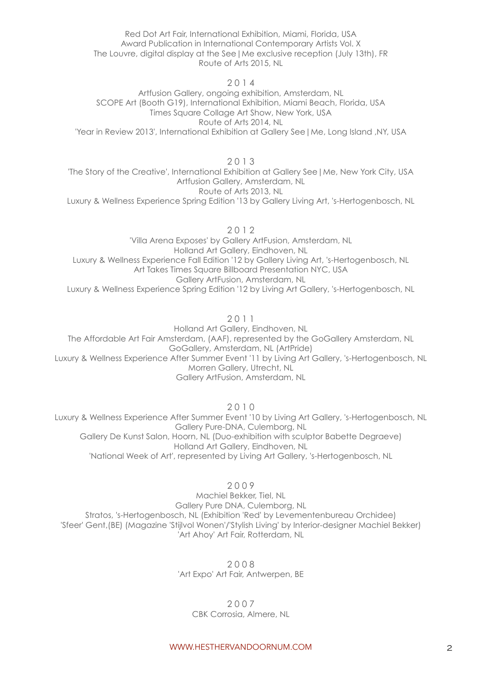Red Dot Art Fair, International Exhibition, Miami, Florida, USA Award Publication in International Contemporary Artists Vol. X The Louvre, digital display at the See|Me exclusive reception (July 13th), FR Route of Arts 2015, NL

2 0 1 4

Artfusion Gallery, ongoing exhibition, Amsterdam, NL SCOPE Art (Booth G19), International Exhibition, Miami Beach, Florida, USA Times Square Collage Art Show, New York, USA Route of Arts 2014, NL 'Year in Review 2013', International Exhibition at Gallery See|Me, Long Island ,NY, USA

2 0 1 3

'The Story of the Creative', International Exhibition at Gallery See|Me, New York City, USA Artfusion Gallery, Amsterdam, NL Route of Arts 2013, NL

Luxury & Wellness Experience Spring Edition '13 by Gallery Living Art, 's-Hertogenbosch, NL

2 0 1 2

'Villa Arena Exposes' by Gallery ArtFusion, Amsterdam, NL Holland Art Gallery, Eindhoven, NL Luxury & Wellness Experience Fall Edition '12 by Gallery Living Art, 's-Hertogenbosch, NL Art Takes Times Square Billboard Presentation NYC, USA Gallery ArtFusion, Amsterdam, NL Luxury & Wellness Experience Spring Edition '12 by Living Art Gallery, 's-Hertogenbosch, NL

2 0 1 1

Holland Art Gallery, Eindhoven, NL The Affordable Art Fair Amsterdam, (AAF), represented by the GoGallery Amsterdam, NL GoGallery, Amsterdam, NL (ArtPride) Luxury & Wellness Experience After Summer Event '11 by Living Art Gallery, 's-Hertogenbosch, NL Morren Gallery, Utrecht, NL Gallery ArtFusion, Amsterdam, NL

2 0 1 0

Luxury & Wellness Experience After Summer Event '10 by Living Art Gallery, 's-Hertogenbosch, NL Gallery Pure-DNA, Culemborg, NL Gallery De Kunst Salon, Hoorn, NL (Duo-exhibition with sculptor Babette Degraeve) Holland Art Gallery, Eindhoven, NL 'National Week of Art', represented by Living Art Gallery, 's-Hertogenbosch, NL

2 0 0 9

Machiel Bekker, Tiel, NL Gallery Pure DNA, Culemborg, NL Stratos, 's-Hertogenbosch, NL (Exhibition 'Red' by Levementenbureau Orchidee) 'Sfeer' Gent,(BE) (Magazine 'Stijlvol Wonen'/'Stylish Living' by Interior-designer Machiel Bekker) 'Art Ahoy' Art Fair, Rotterdam, NL

> 2 0 0 8 'Art Expo' Art Fair, Antwerpen, BE

> > 2 0 0 7 CBK Corrosia, Almere, NL

WWW.HESTHERVANDOORNUM.COM 2